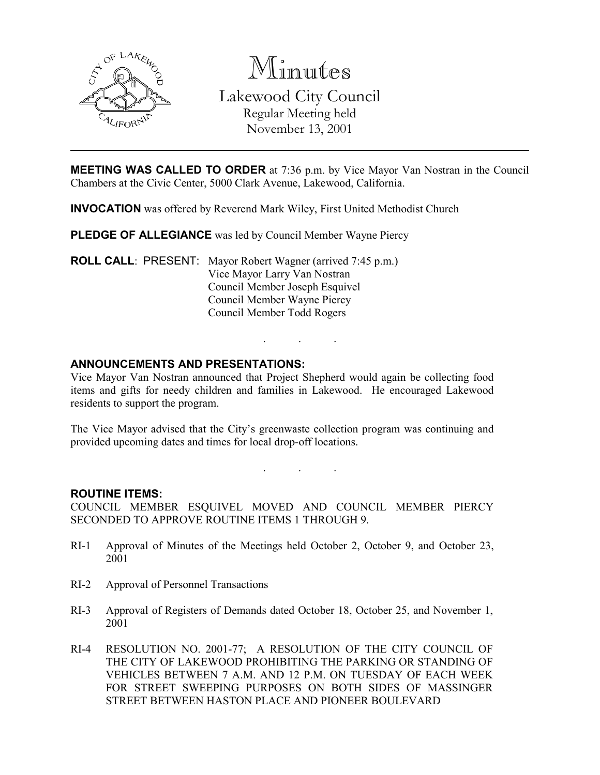

Minutes

Lakewood City Council Regular Meeting held November 13, 2001

**MEETING WAS CALLED TO ORDER** at 7:36 p.m. by Vice Mayor Van Nostran in the Council Chambers at the Civic Center, 5000 Clark Avenue, Lakewood, California.

INVOCATION was offered by Reverend Mark Wiley, First United Methodist Church

PLEDGE OF ALLEGIANCE was led by Council Member Wayne Piercy

ROLL CALL: PRESENT: Mayor Robert Wagner (arrived 7:45 p.m.) Vice Mayor Larry Van Nostran Council Member Joseph Esquivel Council Member Wayne Piercy Council Member Todd Rogers

### ANNOUNCEMENTS AND PRESENTATIONS:

Vice Mayor Van Nostran announced that Project Shepherd would again be collecting food items and gifts for needy children and families in Lakewood. He encouraged Lakewood residents to support the program.

. . .

The Vice Mayor advised that the City's greenwaste collection program was continuing and provided upcoming dates and times for local drop-off locations.

. . .

ROUTINE ITEMS:

COUNCIL MEMBER ESQUIVEL MOVED AND COUNCIL MEMBER PIERCY SECONDED TO APPROVE ROUTINE ITEMS 1 THROUGH 9.

- RI-1 Approval of Minutes of the Meetings held October 2, October 9, and October 23, 2001
- RI-2 Approval of Personnel Transactions
- RI-3 Approval of Registers of Demands dated October 18, October 25, and November 1, 2001
- RI-4 RESOLUTION NO. 2001-77; A RESOLUTION OF THE CITY COUNCIL OF THE CITY OF LAKEWOOD PROHIBITING THE PARKING OR STANDING OF VEHICLES BETWEEN 7 A.M. AND 12 P.M. ON TUESDAY OF EACH WEEK FOR STREET SWEEPING PURPOSES ON BOTH SIDES OF MASSINGER STREET BETWEEN HASTON PLACE AND PIONEER BOULEVARD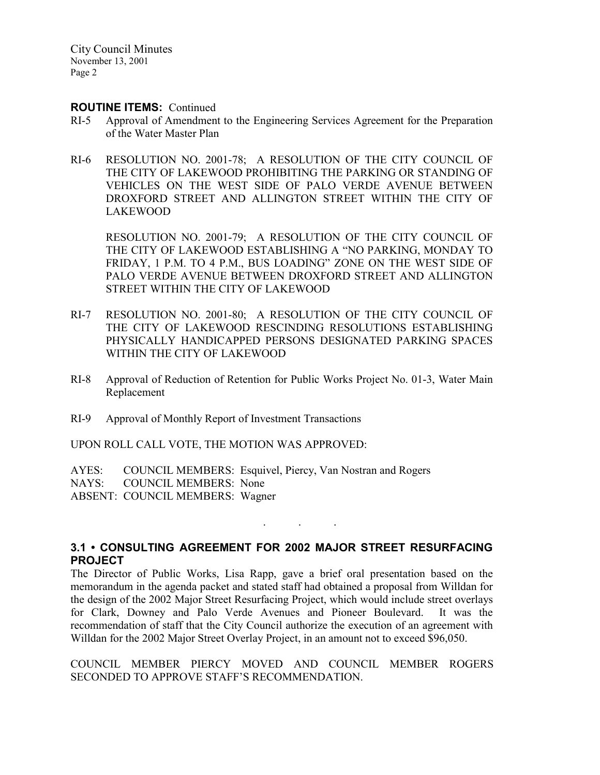City Council Minutes November 13, 2001 Page 2

#### ROUTINE ITEMS: Continued

- RI-5 Approval of Amendment to the Engineering Services Agreement for the Preparation of the Water Master Plan
- RI-6 RESOLUTION NO. 2001-78; A RESOLUTION OF THE CITY COUNCIL OF THE CITY OF LAKEWOOD PROHIBITING THE PARKING OR STANDING OF VEHICLES ON THE WEST SIDE OF PALO VERDE AVENUE BETWEEN DROXFORD STREET AND ALLINGTON STREET WITHIN THE CITY OF LAKEWOOD

RESOLUTION NO. 2001-79; A RESOLUTION OF THE CITY COUNCIL OF THE CITY OF LAKEWOOD ESTABLISHING A "NO PARKING, MONDAY TO FRIDAY, 1 P.M. TO 4 P.M., BUS LOADING" ZONE ON THE WEST SIDE OF PALO VERDE AVENUE BETWEEN DROXFORD STREET AND ALLINGTON STREET WITHIN THE CITY OF LAKEWOOD

- RI-7 RESOLUTION NO. 2001-80; A RESOLUTION OF THE CITY COUNCIL OF THE CITY OF LAKEWOOD RESCINDING RESOLUTIONS ESTABLISHING PHYSICALLY HANDICAPPED PERSONS DESIGNATED PARKING SPACES WITHIN THE CITY OF LAKEWOOD
- RI-8 Approval of Reduction of Retention for Public Works Project No. 01-3, Water Main Replacement
- RI-9 Approval of Monthly Report of Investment Transactions

UPON ROLL CALL VOTE, THE MOTION WAS APPROVED:

AYES: COUNCIL MEMBERS: Esquivel, Piercy, Van Nostran and Rogers

NAYS: COUNCIL MEMBERS: None

ABSENT: COUNCIL MEMBERS: Wagner

### 3.1 • CONSULTING AGREEMENT FOR 2002 MAJOR STREET RESURFACING **PROJECT**

. . .

The Director of Public Works, Lisa Rapp, gave a brief oral presentation based on the memorandum in the agenda packet and stated staff had obtained a proposal from Willdan for the design of the 2002 Major Street Resurfacing Project, which would include street overlays for Clark, Downey and Palo Verde Avenues and Pioneer Boulevard. It was the recommendation of staff that the City Council authorize the execution of an agreement with Willdan for the 2002 Major Street Overlay Project, in an amount not to exceed \$96,050.

COUNCIL MEMBER PIERCY MOVED AND COUNCIL MEMBER ROGERS SECONDED TO APPROVE STAFF'S RECOMMENDATION.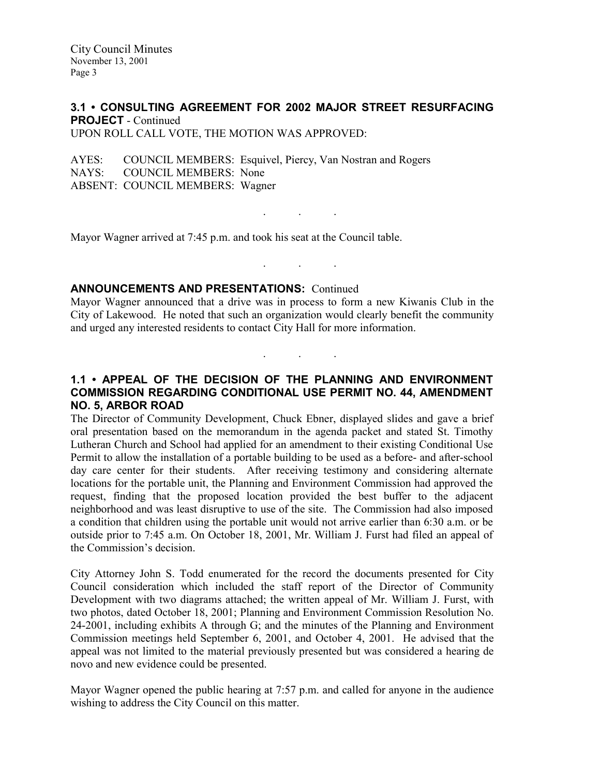## 3.1 • CONSULTING AGREEMENT FOR 2002 MAJOR STREET RESURFACING PROJECT - Continued

. . .

. . .

. . .

UPON ROLL CALL VOTE, THE MOTION WAS APPROVED:

AYES: COUNCIL MEMBERS: Esquivel, Piercy, Van Nostran and Rogers<br>NAYS: COUNCIL MEMBERS: None COUNCIL MEMBERS: None ABSENT: COUNCIL MEMBERS: Wagner

Mayor Wagner arrived at 7:45 p.m. and took his seat at the Council table.

### ANNOUNCEMENTS AND PRESENTATIONS: Continued

Mayor Wagner announced that a drive was in process to form a new Kiwanis Club in the City of Lakewood. He noted that such an organization would clearly benefit the community and urged any interested residents to contact City Hall for more information.

### 1.1 • APPEAL OF THE DECISION OF THE PLANNING AND ENVIRONMENT COMMISSION REGARDING CONDITIONAL USE PERMIT NO. 44, AMENDMENT NO. 5, ARBOR ROAD

The Director of Community Development, Chuck Ebner, displayed slides and gave a brief oral presentation based on the memorandum in the agenda packet and stated St. Timothy Lutheran Church and School had applied for an amendment to their existing Conditional Use Permit to allow the installation of a portable building to be used as a before- and after-school day care center for their students. After receiving testimony and considering alternate locations for the portable unit, the Planning and Environment Commission had approved the request, finding that the proposed location provided the best buffer to the adjacent neighborhood and was least disruptive to use of the site. The Commission had also imposed a condition that children using the portable unit would not arrive earlier than 6:30 a.m. or be outside prior to 7:45 a.m. On October 18, 2001, Mr. William J. Furst had filed an appeal of the Commission's decision.

City Attorney John S. Todd enumerated for the record the documents presented for City Council consideration which included the staff report of the Director of Community Development with two diagrams attached; the written appeal of Mr. William J. Furst, with two photos, dated October 18, 2001; Planning and Environment Commission Resolution No. 24-2001, including exhibits A through G; and the minutes of the Planning and Environment Commission meetings held September 6, 2001, and October 4, 2001. He advised that the appeal was not limited to the material previously presented but was considered a hearing de novo and new evidence could be presented.

Mayor Wagner opened the public hearing at 7:57 p.m. and called for anyone in the audience wishing to address the City Council on this matter.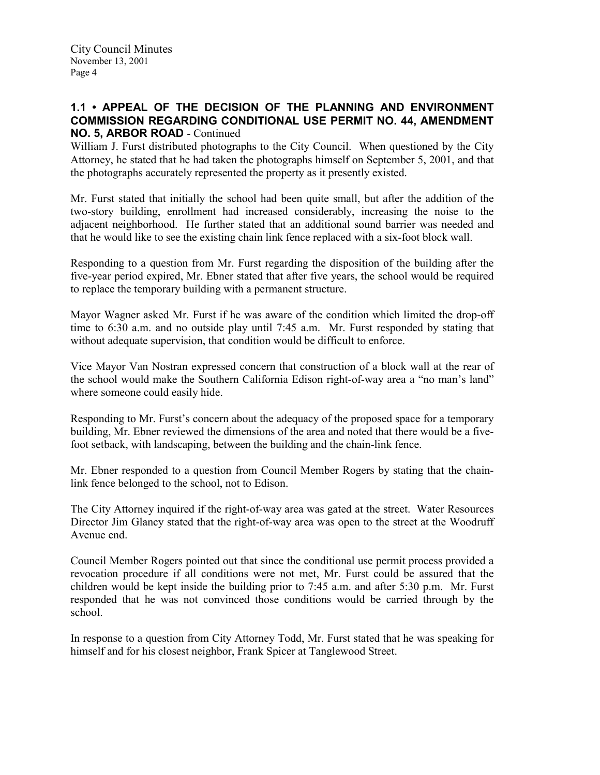### 1.1 • APPEAL OF THE DECISION OF THE PLANNING AND ENVIRONMENT COMMISSION REGARDING CONDITIONAL USE PERMIT NO. 44, AMENDMENT NO. 5, ARBOR ROAD - Continued

William J. Furst distributed photographs to the City Council. When questioned by the City Attorney, he stated that he had taken the photographs himself on September 5, 2001, and that the photographs accurately represented the property as it presently existed.

Mr. Furst stated that initially the school had been quite small, but after the addition of the two-story building, enrollment had increased considerably, increasing the noise to the adjacent neighborhood. He further stated that an additional sound barrier was needed and that he would like to see the existing chain link fence replaced with a six-foot block wall.

Responding to a question from Mr. Furst regarding the disposition of the building after the five-year period expired, Mr. Ebner stated that after five years, the school would be required to replace the temporary building with a permanent structure.

Mayor Wagner asked Mr. Furst if he was aware of the condition which limited the drop-off time to 6:30 a.m. and no outside play until 7:45 a.m. Mr. Furst responded by stating that without adequate supervision, that condition would be difficult to enforce.

Vice Mayor Van Nostran expressed concern that construction of a block wall at the rear of the school would make the Southern California Edison right-of-way area a "no man's land" where someone could easily hide.

Responding to Mr. Furst's concern about the adequacy of the proposed space for a temporary building, Mr. Ebner reviewed the dimensions of the area and noted that there would be a fivefoot setback, with landscaping, between the building and the chain-link fence.

Mr. Ebner responded to a question from Council Member Rogers by stating that the chainlink fence belonged to the school, not to Edison.

The City Attorney inquired if the right-of-way area was gated at the street. Water Resources Director Jim Glancy stated that the right-of-way area was open to the street at the Woodruff Avenue end.

Council Member Rogers pointed out that since the conditional use permit process provided a revocation procedure if all conditions were not met, Mr. Furst could be assured that the children would be kept inside the building prior to 7:45 a.m. and after 5:30 p.m. Mr. Furst responded that he was not convinced those conditions would be carried through by the school.

In response to a question from City Attorney Todd, Mr. Furst stated that he was speaking for himself and for his closest neighbor, Frank Spicer at Tanglewood Street.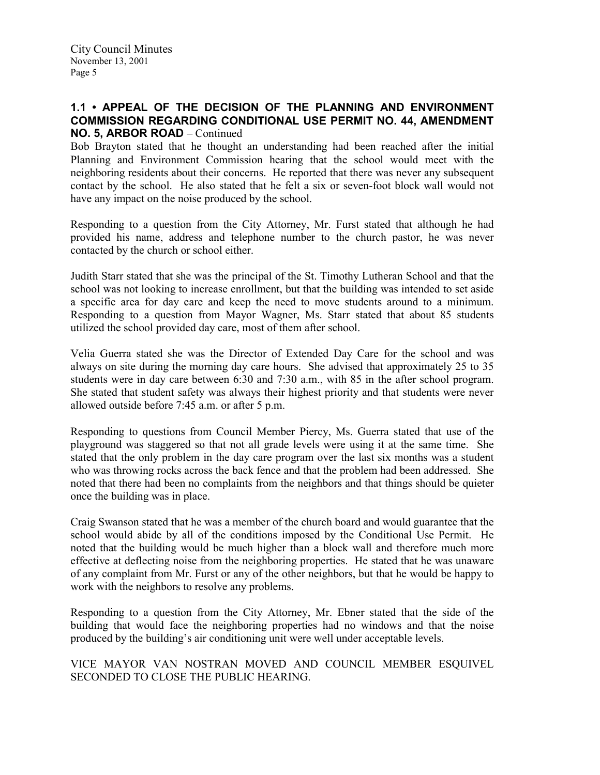### 1.1 • APPEAL OF THE DECISION OF THE PLANNING AND ENVIRONMENT COMMISSION REGARDING CONDITIONAL USE PERMIT NO. 44, AMENDMENT NO. 5, ARBOR ROAD – Continued

Bob Brayton stated that he thought an understanding had been reached after the initial Planning and Environment Commission hearing that the school would meet with the neighboring residents about their concerns. He reported that there was never any subsequent contact by the school. He also stated that he felt a six or seven-foot block wall would not have any impact on the noise produced by the school.

Responding to a question from the City Attorney, Mr. Furst stated that although he had provided his name, address and telephone number to the church pastor, he was never contacted by the church or school either.

Judith Starr stated that she was the principal of the St. Timothy Lutheran School and that the school was not looking to increase enrollment, but that the building was intended to set aside a specific area for day care and keep the need to move students around to a minimum. Responding to a question from Mayor Wagner, Ms. Starr stated that about 85 students utilized the school provided day care, most of them after school.

Velia Guerra stated she was the Director of Extended Day Care for the school and was always on site during the morning day care hours. She advised that approximately 25 to 35 students were in day care between 6:30 and 7:30 a.m., with 85 in the after school program. She stated that student safety was always their highest priority and that students were never allowed outside before 7:45 a.m. or after 5 p.m.

Responding to questions from Council Member Piercy, Ms. Guerra stated that use of the playground was staggered so that not all grade levels were using it at the same time. She stated that the only problem in the day care program over the last six months was a student who was throwing rocks across the back fence and that the problem had been addressed. She noted that there had been no complaints from the neighbors and that things should be quieter once the building was in place.

Craig Swanson stated that he was a member of the church board and would guarantee that the school would abide by all of the conditions imposed by the Conditional Use Permit. He noted that the building would be much higher than a block wall and therefore much more effective at deflecting noise from the neighboring properties. He stated that he was unaware of any complaint from Mr. Furst or any of the other neighbors, but that he would be happy to work with the neighbors to resolve any problems.

Responding to a question from the City Attorney, Mr. Ebner stated that the side of the building that would face the neighboring properties had no windows and that the noise produced by the building's air conditioning unit were well under acceptable levels.

VICE MAYOR VAN NOSTRAN MOVED AND COUNCIL MEMBER ESQUIVEL SECONDED TO CLOSE THE PUBLIC HEARING.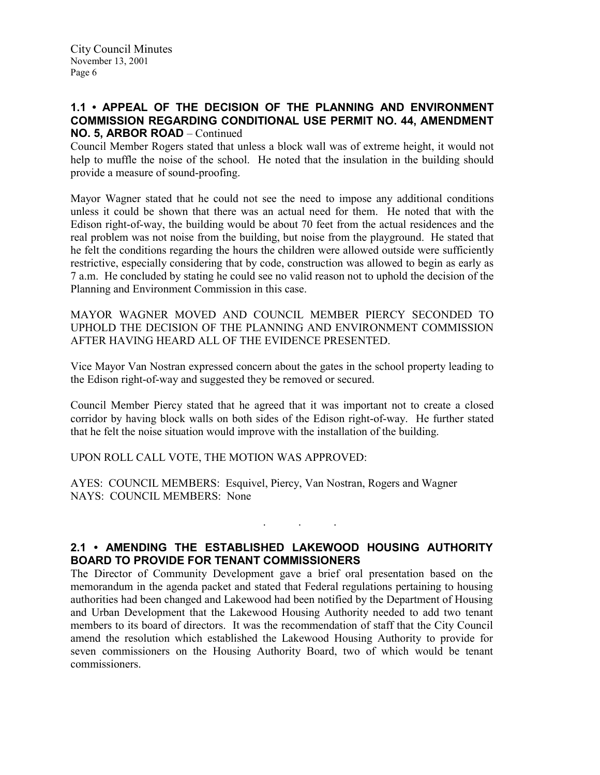### 1.1 • APPEAL OF THE DECISION OF THE PLANNING AND ENVIRONMENT COMMISSION REGARDING CONDITIONAL USE PERMIT NO. 44, AMENDMENT NO. 5, ARBOR ROAD – Continued

Council Member Rogers stated that unless a block wall was of extreme height, it would not help to muffle the noise of the school. He noted that the insulation in the building should provide a measure of sound-proofing.

Mayor Wagner stated that he could not see the need to impose any additional conditions unless it could be shown that there was an actual need for them. He noted that with the Edison right-of-way, the building would be about 70 feet from the actual residences and the real problem was not noise from the building, but noise from the playground. He stated that he felt the conditions regarding the hours the children were allowed outside were sufficiently restrictive, especially considering that by code, construction was allowed to begin as early as 7 a.m. He concluded by stating he could see no valid reason not to uphold the decision of the Planning and Environment Commission in this case.

MAYOR WAGNER MOVED AND COUNCIL MEMBER PIERCY SECONDED TO UPHOLD THE DECISION OF THE PLANNING AND ENVIRONMENT COMMISSION AFTER HAVING HEARD ALL OF THE EVIDENCE PRESENTED.

Vice Mayor Van Nostran expressed concern about the gates in the school property leading to the Edison right-of-way and suggested they be removed or secured.

Council Member Piercy stated that he agreed that it was important not to create a closed corridor by having block walls on both sides of the Edison right-of-way. He further stated that he felt the noise situation would improve with the installation of the building.

UPON ROLL CALL VOTE, THE MOTION WAS APPROVED:

AYES: COUNCIL MEMBERS: Esquivel, Piercy, Van Nostran, Rogers and Wagner NAYS: COUNCIL MEMBERS: None

### 2.1 • AMENDING THE ESTABLISHED LAKEWOOD HOUSING AUTHORITY BOARD TO PROVIDE FOR TENANT COMMISSIONERS

. . .

The Director of Community Development gave a brief oral presentation based on the memorandum in the agenda packet and stated that Federal regulations pertaining to housing authorities had been changed and Lakewood had been notified by the Department of Housing and Urban Development that the Lakewood Housing Authority needed to add two tenant members to its board of directors. It was the recommendation of staff that the City Council amend the resolution which established the Lakewood Housing Authority to provide for seven commissioners on the Housing Authority Board, two of which would be tenant commissioners.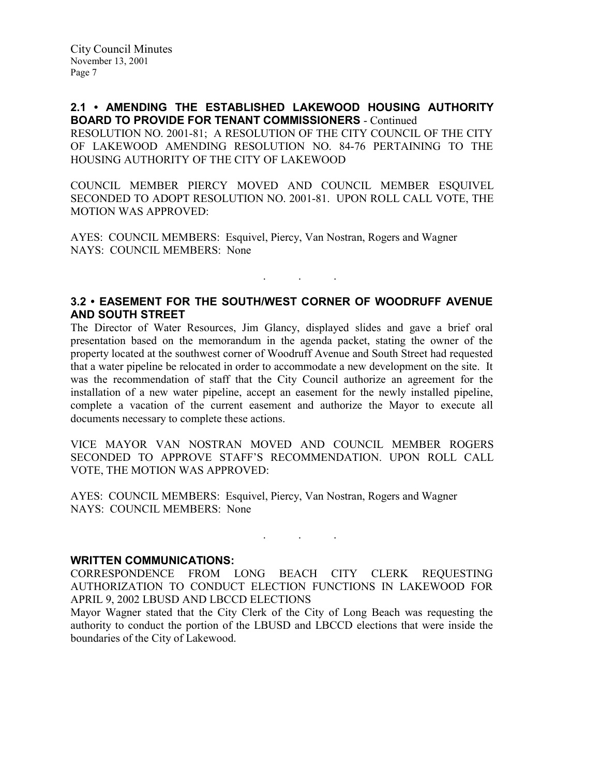2.1 • AMENDING THE ESTABLISHED LAKEWOOD HOUSING AUTHORITY BOARD TO PROVIDE FOR TENANT COMMISSIONERS - Continued RESOLUTION NO. 2001-81; A RESOLUTION OF THE CITY COUNCIL OF THE CITY OF LAKEWOOD AMENDING RESOLUTION NO. 84-76 PERTAINING TO THE HOUSING AUTHORITY OF THE CITY OF LAKEWOOD

COUNCIL MEMBER PIERCY MOVED AND COUNCIL MEMBER ESQUIVEL SECONDED TO ADOPT RESOLUTION NO. 2001-81. UPON ROLL CALL VOTE, THE MOTION WAS APPROVED:

AYES: COUNCIL MEMBERS: Esquivel, Piercy, Van Nostran, Rogers and Wagner NAYS: COUNCIL MEMBERS: None

### 3.2 • EASEMENT FOR THE SOUTH/WEST CORNER OF WOODRUFF AVENUE AND SOUTH STREET

. . .

The Director of Water Resources, Jim Glancy, displayed slides and gave a brief oral presentation based on the memorandum in the agenda packet, stating the owner of the property located at the southwest corner of Woodruff Avenue and South Street had requested that a water pipeline be relocated in order to accommodate a new development on the site. It was the recommendation of staff that the City Council authorize an agreement for the installation of a new water pipeline, accept an easement for the newly installed pipeline, complete a vacation of the current easement and authorize the Mayor to execute all documents necessary to complete these actions.

VICE MAYOR VAN NOSTRAN MOVED AND COUNCIL MEMBER ROGERS SECONDED TO APPROVE STAFF'S RECOMMENDATION. UPON ROLL CALL VOTE, THE MOTION WAS APPROVED:

AYES: COUNCIL MEMBERS: Esquivel, Piercy, Van Nostran, Rogers and Wagner NAYS: COUNCIL MEMBERS: None

#### WRITTEN COMMUNICATIONS:

CORRESPONDENCE FROM LONG BEACH CITY CLERK REQUESTING AUTHORIZATION TO CONDUCT ELECTION FUNCTIONS IN LAKEWOOD FOR APRIL 9, 2002 LBUSD AND LBCCD ELECTIONS

. . .

Mayor Wagner stated that the City Clerk of the City of Long Beach was requesting the authority to conduct the portion of the LBUSD and LBCCD elections that were inside the boundaries of the City of Lakewood.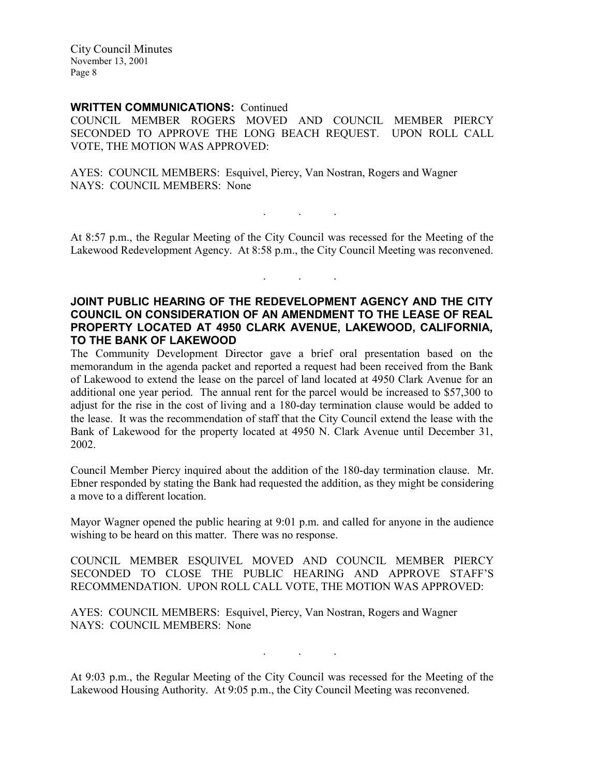City Council Minutes November 13, 2001 Page 8

### WRITTEN COMMUNICATIONS: Continued

COUNCIL MEMBER ROGERS MOVED AND COUNCIL MEMBER PIERCY SECONDED TO APPROVE THE LONG BEACH REQUEST. UPON ROLL CALL VOTE, THE MOTION WAS APPROVED:

AYES: COUNCIL MEMBERS: Esquivel, Piercy, Van Nostran, Rogers and Wagner NAYS: COUNCIL MEMBERS: None

At 8:57 p.m., the Regular Meeting of the City Council was recessed for the Meeting of the Lakewood Redevelopment Agency. At 8:58 p.m., the City Council Meeting was reconvened.

 $\mathbf{r}$  .  $\mathbf{r}$  ,  $\mathbf{r}$  ,  $\mathbf{r}$ 

. . .

### JOINT PUBLIC HEARING OF THE REDEVELOPMENT AGENCY AND THE CITY COUNCIL ON CONSIDERATION OF AN AMENDMENT TO THE LEASE OF REAL PROPERTY LOCATED AT 4950 CLARK AVENUE, LAKEWOOD, CALIFORNIA, TO THE BANK OF LAKEWOOD

The Community Development Director gave a brief oral presentation based on the memorandum in the agenda packet and reported a request had been received from the Bank of Lakewood to extend the lease on the parcel of land located at 4950 Clark Avenue for an additional one year period. The annual rent for the parcel would be increased to \$57,300 to adjust for the rise in the cost of living and a 180-day termination clause would be added to the lease. It was the recommendation of staff that the City Council extend the lease with the Bank of Lakewood for the property located at 4950 N. Clark Avenue until December 31, 2002.

Council Member Piercy inquired about the addition of the 180-day termination clause. Mr. Ebner responded by stating the Bank had requested the addition, as they might be considering a move to a different location.

Mayor Wagner opened the public hearing at 9:01 p.m. and called for anyone in the audience wishing to be heard on this matter. There was no response.

COUNCIL MEMBER ESQUIVEL MOVED AND COUNCIL MEMBER PIERCY SECONDED TO CLOSE THE PUBLIC HEARING AND APPROVE STAFF'S RECOMMENDATION. UPON ROLL CALL VOTE, THE MOTION WAS APPROVED:

AYES: COUNCIL MEMBERS: Esquivel, Piercy, Van Nostran, Rogers and Wagner NAYS: COUNCIL MEMBERS: None

At 9:03 p.m., the Regular Meeting of the City Council was recessed for the Meeting of the Lakewood Housing Authority. At 9:05 p.m., the City Council Meeting was reconvened.

. . .